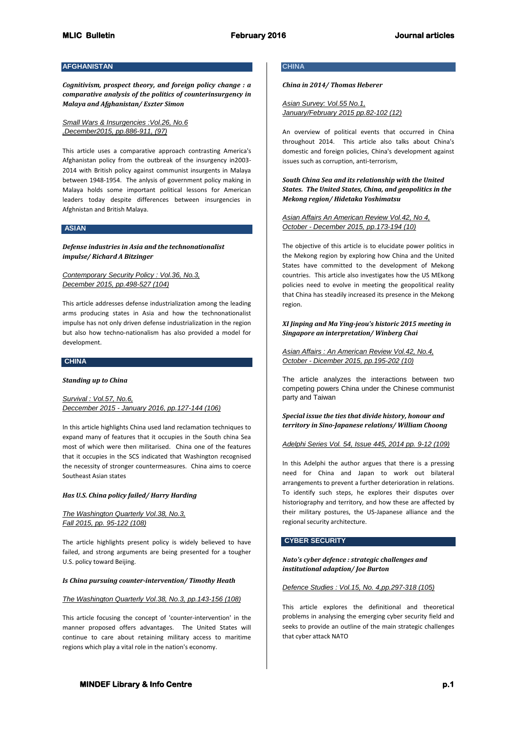# **AFGHANISTAN**

*Cognitivism, prospect theory, and foreign policy change : a comparative analysis of the politics of counterinsurgency in Malaya and Afghanistan/ Eszter Simon*

*Small Wars & Insurgencies :Vol.26, No.6 ,December2015, pp.886-911, (97)*

This article uses a comparative approach contrasting America's Afghanistan policy from the outbreak of the insurgency in2003- 2014 with British policy against communist insurgents in Malaya between 1948-1954. The anlysis of government policy making in Malaya holds some important political lessons for American leaders today despite differences between insurgencies in Afghnistan and British Malaya.

### **ASIAN**

*Defense industries in Asia and the technonationalist impulse/ Richard A Bitzinger*

*Contemporary Security Policy : Vol.36, No.3, December 2015, pp.498-527 (104)*

This article addresses defense industrialization among the leading arms producing states in Asia and how the technonationalist impulse has not only driven defense industrialization in the region but also how techno-nationalism has also provided a model for development.

# **CHINA**

*Standing up to China*

*Survival : Vol.57, No.6, Deccember 2015 - January 2016, pp.127-144 (106)*

In this article highlights China used land reclamation techniques to expand many of features that it occupies in the South china Sea most of which were then militarised. China one of the features that it occupies in the SCS indicated that Washington recognised the necessity of stronger countermeasures. China aims to coerce Southeast Asian states

### *Has U.S. China policy failed/ Harry Harding*

*The Washington Quarterly Vol.38, No.3, Fall 2015, pp. 95-122 (108)*

The article highlights present policy is widely believed to have failed, and strong arguments are being presented for a tougher U.S. policy toward Beijing.

#### *Is China pursuing counter-intervention/ Timothy Heath*

*The Washington Quarterly Vol.38, No.3, pp.143-156 (108)*

This article focusing the concept of 'counter-intervention' in the manner proposed offers advantages. The United States will continue to care about retaining military access to maritime regions which play a vital role in the nation's economy.

## **CHINA**

*China in 2014/ Thomas Heberer*

*Asian Survey: Vol.55 No.1, January/February 2015 pp.82-102 (12)*

An overview of political events that occurred in China throughout 2014. This article also talks about China's domestic and foreign policies, China's development against issues such as corruption, anti-terrorism,

*South China Sea and its relationship with the United States. The United States, China, and geopolitics in the Mekong region/ Hidetaka Yoshimatsu*

*Asian Affairs An American Review Vol.42, No 4, October - December 2015, pp.173-194 (10)*

The objective of this article is to elucidate power politics in the Mekong region by exploring how China and the United States have committed to the development of Mekong countries. This article also investigates how the US MEkong policies need to evolve in meeting the geopolitical reality that China has steadily increased its presence in the Mekong region.

*XI Jinping and Ma Ying-jeou's historic 2015 meeting in Singapore an interpretation/ Winberg Chai*

*Asian Affairs : An American Review Vol.42, No.4, October - Dicember 2015, pp.195-202 (10)*

The article analyzes the interactions between two competing powers China under the Chinese communist party and Taiwan

*Special issue the ties that divide history, honour and territory in Sino-Japanese relations/ William Choong*

*Adelphi Series Vol. 54, Issue 445, 2014 pp. 9-12 (109)*

In this Adelphi the author argues that there is a pressing need for China and Japan to work out bilateral arrangements to prevent a further deterioration in relations. To identify such steps, he explores their disputes over historiography and territory, and how these are affected by their military postures, the US-Japanese alliance and the regional security architecture.

#### **CYBER SECURITY**

*Nato's cyber defence : strategic challenges and institutional adaption/ Joe Burton*

*Defence Studies : Vol.15, No. 4,pp.297-318 (105)*

This article explores the definitional and theoretical problems in analysing the emerging cyber security field and seeks to provide an outline of the main strategic challenges that cyber attack NATO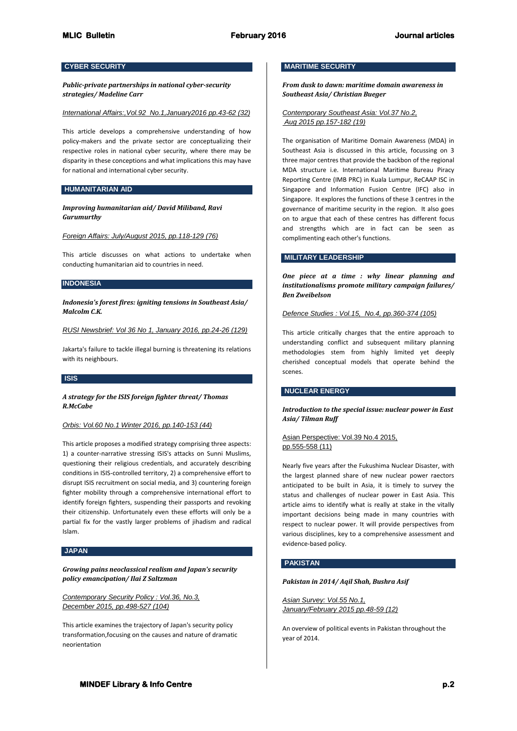# **CYBER SECURITY**

*Public-private partnerships in national cyber-security strategies/ Madeline Carr*

*International Affairs:,Vol.92 No.1,January2016 pp.43-62 (32)*

This article develops a comprehensive understanding of how policy-makers and the private sector are conceptualizing their respective roles in national cyber security, where there may be disparity in these conceptions and what implications this may have for national and international cyber security.

### **HUMANITARIAN AID**

*Improving humanitarian aid/ David Miliband, Ravi Gurumurthy*

### *Foreign Affairs: July/August 2015, pp.118-129 (76)*

This article discusses on what actions to undertake when conducting humanitarian aid to countries in need.

### **INDONESIA**

*Indonesia's forest fires: igniting tensions in Southeast Asia/ Malcolm C.K.*

*RUSI Newsbrief: Vol 36 No 1, January 2016, pp.24-26 (129)*

Jakarta's failure to tackle illegal burning is threatening its relations with its neighbours.

## **ISIS**

*A strategy for the ISIS foreign fighter threat/ Thomas R.McCabe*

### *Orbis: Vol.60 No.1 Winter 2016, pp.140-153 (44)*

This article proposes a modified strategy comprising three aspects: 1) a counter-narrative stressing ISIS's attacks on Sunni Muslims, questioning their religious credentials, and accurately describing conditions in ISIS-controlled territory, 2) a comprehensive effort to disrupt ISIS recruitment on social media, and 3) countering foreign fighter mobility through a comprehensive international effort to identify foreign fighters, suspending their passports and revoking their citizenship. Unfortunately even these efforts will only be a partial fix for the vastly larger problems of jihadism and radical Islam.

#### **JAPAN**

*Growing pains neoclassical realism and Japan's security policy emancipation/ Ilai Z Saltzman*

*Contemporary Security Policy : Vol.36, No.3, December 2015, pp.498-527 (104)*

This article examines the trajectory of Japan's security policy transformation,focusing on the causes and nature of dramatic neorientation

## **MARITIME SECURITY**

*From dusk to dawn: maritime domain awareness in Southeast Asia/ Christian Bueger*

*Contemporary Southeast Asia: Vol.37 No.2, Aug 2015 pp.157-182 (19)*

The organisation of Maritime Domain Awareness (MDA) in Southeast Asia is discussed in this article, focussing on 3 three major centres that provide the backbon of the regional MDA structure i.e. International Maritime Bureau Piracy Reporting Centre (IMB PRC) in Kuala Lumpur, ReCAAP ISC in Singapore and Information Fusion Centre (IFC) also in Singapore. It explores the functions of these 3 centres in the governance of maritime security in the region. It also goes on to argue that each of these centres has different focus and strengths which are in fact can be seen as complimenting each other's functions.

### **MILITARY LEADERSHIP**

*One piece at a time : why linear planning and institutionalisms promote military campaign failures/ Ben Zweibelson*

#### *Defence Studies : Vol.15, No.4, pp.360-374 (105)*

This article critically charges that the entire approach to understanding conflict and subsequent military planning methodologies stem from highly limited yet deeply cherished conceptual models that operate behind the scenes.

### **NUCLEAR ENERGY**

## *Introduction to the special issue: nuclear power in East Asia/ Tilman Ruff*

### Asian Perspective: Vol.39 No.4 2015, pp.555-558 (11)

Nearly five years after the Fukushima Nuclear Disaster, with the largest planned share of new nuclear power raectors anticipated to be built in Asia, it is timely to survey the status and challenges of nuclear power in East Asia. This article aims to identify what is really at stake in the vitally important decisions being made in many countries with respect to nuclear power. It will provide perspectives from various disciplines, key to a comprehensive assessment and evidence-based policy.

### **PAKISTAN**

#### *Pakistan in 2014/ Aqil Shah, Bushra Asif*

*Asian Survey: Vol.55 No.1, January/February 2015 pp.48-59 (12)*

An overview of political events in Pakistan throughout the year of 2014.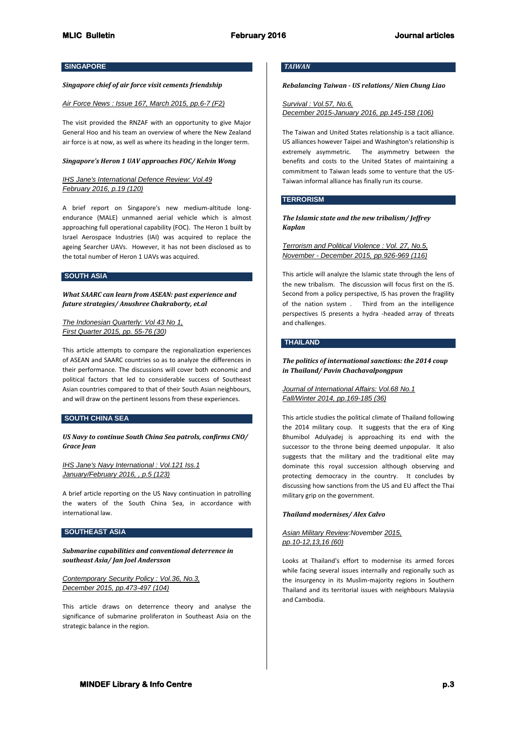## **SINGAPORE**

## *Singapore chief of air force visit cements friendship*

#### *Air Force News : Issue 167, March 2015, pp.6-7 (F2)*

The visit provided the RNZAF with an opportunity to give Major General Hoo and his team an overview of where the New Zealand air force is at now, as well as where its heading in the longer term.

### *Singapore's Heron 1 UAV approaches FOC/ Kelvin Wong*

## *IHS Jane's International Defence Review: Vol.49 February 2016, p.19 (120)*

A brief report on Singapore's new medium-altitude longendurance (MALE) unmanned aerial vehicle which is almost approaching full operational capability (FOC). The Heron 1 built by Israel Aerospace Industries (IAI) was acquired to replace the ageing Searcher UAVs. However, it has not been disclosed as to the total number of Heron 1 UAVs was acquired.

# **SOUTH ASIA**

*What SAARC can learn from ASEAN: past experience and future strategies/ Anushree Chakraborty, et.al*

# *The Indonesian Quarterly: Vol 43 No 1, First Quarter 2015, pp. 55-76 (30)*

This article attempts to compare the regionalization experiences of ASEAN and SAARC countries so as to analyze the differences in their performance. The discussions will cover both economic and political factors that led to considerable success of Southeast Asian countries compared to that of their South Asian neighbours, and will draw on the pertinent lessons from these experiences.

## **SOUTH CHINA SEA**

*US Navy to continue South China Sea patrols, confirms CNO/ Grace Jean*

*IHS Jane's Navy International : Vol.121 Iss.1 January/February 2016, , p.5 (123)*

A brief article reporting on the US Navy continuation in patrolling the waters of the South China Sea, in accordance with international law.

### **SOUTHEAST ASIA**

*Submarine capabilities and conventional deterrence in southeast Asia/ Jan Joel Andersson*

*Contemporary Security Policy : Vol.36, No.3, December 2015, pp.473-497 (104)*

This article draws on deterrence theory and analyse the significance of submarine proliferaton in Southeast Asia on the strategic balance in the region.

## *TAIWAN*

### *Rebalancing Taiwan - US relations/ Nien Chung Liao*

*Survival : Vol.57, No.6, December 2015-January 2016, pp.145-158 (106)*

The Taiwan and United States relationship is a tacit alliance. US alliances however Taipei and Washington's relationship is extremely asymmetric. The asymmetry between the benefits and costs to the United States of maintaining a commitment to Taiwan leads some to venture that the US-Taiwan informal alliance has finally run its course.

#### **TERRORISM**

*The Islamic state and the new tribalism/ Jeffrey Kaplan*

*Terrorism and Political Violence : Vol. 27, No.5, November - December 2015, pp.926-969 (116)*

This article will analyze the Islamic state through the lens of the new tribalism. The discussion will focus first on the IS. Second from a policy perspective, IS has proven the fragility of the nation system . Third from an the intelligence perspectives IS presents a hydra -headed array of threats and challenges.

## **THAILAND**

*The politics of international sanctions: the 2014 coup in Thailand/ Pavin Chachavalpongpun*

### *Journal of International Affairs: Vol.68 No.1 Fall/Winter 2014, pp.169-185 (36)*

This article studies the political climate of Thailand following the 2014 military coup. It suggests that the era of King Bhumibol Adulyadej is approaching its end with the successor to the throne being deemed unpopular. It also suggests that the military and the traditional elite may dominate this royal succession although observing and protecting democracy in the country. It concludes by discussing how sanctions from the US and EU affect the Thai military grip on the government.

### *Thailand modernises/ Alex Calvo*

## *Asian Military Review:November 2015, pp.10-12,13,16 (60)*

Looks at Thailand's effort to modernise its armed forces while facing several issues internally and regionally such as the insurgency in its Muslim-majority regions in Southern Thailand and its territorial issues with neighbours Malaysia and Cambodia.